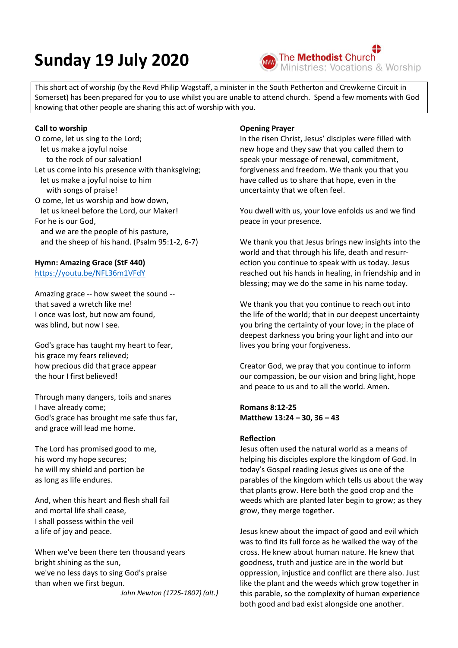# **Sunday 19 July 2020**



This short act of worship (by the Revd Philip Wagstaff, a minister in the South Petherton and Crewkerne Circuit in Somerset) has been prepared for you to use whilst you are unable to attend church. Spend a few moments with God knowing that other people are sharing this act of worship with you.

#### **Call to worship**

O come, let us sing to the Lord; let us make a joyful noise to the rock of our salvation! Let us come into his presence with thanksgiving; let us make a joyful noise to him with songs of praise! O come, let us worship and bow down, let us kneel before the Lord, our Maker! For he is our God, and we are the people of his pasture, and the sheep of his hand. (Psalm 95:1-2, 6-7)

## **Hymn: Amazing Grace (StF 440)**

<https://youtu.be/NFL36m1VFdY>

Amazing grace -- how sweet the sound - that saved a wretch like me! I once was lost, but now am found, was blind, but now I see.

God's grace has taught my heart to fear, his grace my fears relieved; how precious did that grace appear the hour I first believed!

Through many dangers, toils and snares I have already come; God's grace has brought me safe thus far, and grace will lead me home.

The Lord has promised good to me, his word my hope secures; he will my shield and portion be as long as life endures.

And, when this heart and flesh shall fail and mortal life shall cease, I shall possess within the veil a life of joy and peace.

When we've been there ten thousand years bright shining as the sun, we've no less days to sing God's praise than when we first begun.

*John Newton (1725-1807) (alt.)*

### **Opening Prayer**

In the risen Christ, Jesus' disciples were filled with new hope and they saw that you called them to speak your message of renewal, commitment, forgiveness and freedom. We thank you that you have called us to share that hope, even in the uncertainty that we often feel.

You dwell with us, your love enfolds us and we find peace in your presence.

We thank you that Jesus brings new insights into the world and that through his life, death and resurrection you continue to speak with us today. Jesus reached out his hands in healing, in friendship and in blessing; may we do the same in his name today.

We thank you that you continue to reach out into the life of the world; that in our deepest uncertainty you bring the certainty of your love; in the place of deepest darkness you bring your light and into our lives you bring your forgiveness.

Creator God, we pray that you continue to inform our compassion, be our vision and bring light, hope and peace to us and to all the world. Amen.

**Romans 8:12-25 Matthew 13:24 – 30, 36 – 43** 

## **Reflection**

Jesus often used the natural world as a means of helping his disciples explore the kingdom of God. In today's Gospel reading Jesus gives us one of the parables of the kingdom which tells us about the way that plants grow. Here both the good crop and the weeds which are planted later begin to grow; as they grow, they merge together.

Jesus knew about the impact of good and evil which was to find its full force as he walked the way of the cross. He knew about human nature. He knew that goodness, truth and justice are in the world but oppression, injustice and conflict are there also. Just like the plant and the weeds which grow together in this parable, so the complexity of human experience both good and bad exist alongside one another.